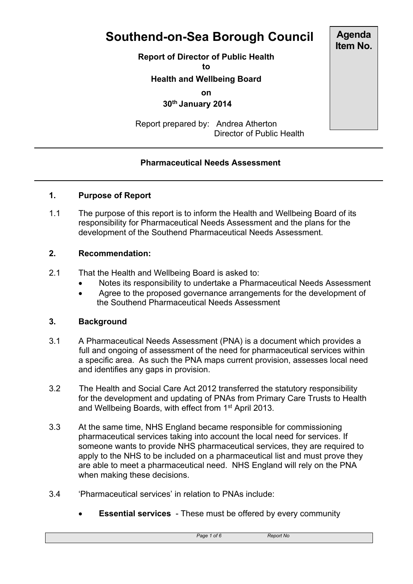# **Southend-on-Sea Borough Council**

**Report of Director of Public Health**

**to**

**Health and Wellbeing Board**

**on**

 **30th January 2014**

Report prepared by: Andrea Atherton Director of Public Health

# **Pharmaceutical Needs Assessment**

# **1. Purpose of Report**

1.1 The purpose of this report is to inform the Health and Wellbeing Board of its responsibility for Pharmaceutical Needs Assessment and the plans for the development of the Southend Pharmaceutical Needs Assessment.

#### **2. Recommendation:**

- 2.1 That the Health and Wellbeing Board is asked to:
	- Notes its responsibility to undertake a Pharmaceutical Needs Assessment
	- Agree to the proposed governance arrangements for the development of the Southend Pharmaceutical Needs Assessment

#### **3. Background**

- 3.1 A Pharmaceutical Needs Assessment (PNA) is a document which provides a full and ongoing of assessment of the need for pharmaceutical services within a specific area. As such the PNA maps current provision, assesses local need and identifies any gaps in provision.
- 3.2 The Health and Social Care Act 2012 transferred the statutory responsibility for the development and updating of PNAs from Primary Care Trusts to Health and Wellbeing Boards, with effect from 1<sup>st</sup> April 2013.
- 3.3 At the same time, NHS England became responsible for commissioning pharmaceutical services taking into account the local need for services. If someone wants to provide NHS pharmaceutical services, they are required to apply to the NHS to be included on a pharmaceutical list and must prove they are able to meet a pharmaceutical need. NHS England will rely on the PNA when making these decisions.
- 3.4 'Pharmaceutical services' in relation to PNAs include:
	- **Essential services** These must be offered by every community

**Agenda Item No.**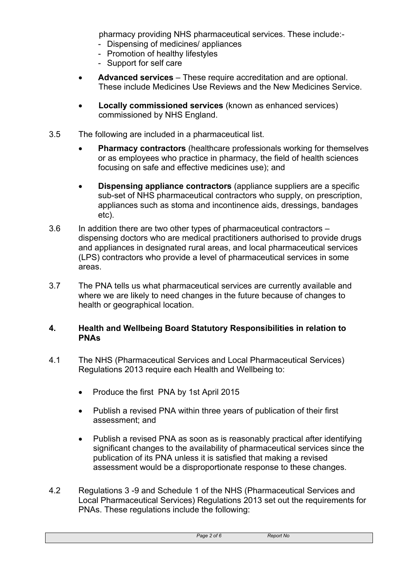pharmacy providing NHS pharmaceutical services. These include:-

- Dispensing of medicines/ appliances
- Promotion of healthy lifestyles
- Support for self care
- **Advanced services** These require accreditation and are optional. These include Medicines Use Reviews and the New Medicines Service.
- **Locally commissioned services** (known as enhanced services) commissioned by NHS England.
- 3.5 The following are included in a pharmaceutical list.
	- **Pharmacy contractors** (healthcare professionals working for themselves or as employees who practice in pharmacy, the field of health sciences focusing on safe and effective medicines use); and
	- **Dispensing appliance contractors** (appliance suppliers are a specific sub-set of NHS pharmaceutical contractors who supply, on prescription, appliances such as stoma and incontinence aids, dressings, bandages etc).
- 3.6 In addition there are two other types of pharmaceutical contractors dispensing doctors who are medical practitioners authorised to provide drugs and appliances in designated rural areas, and local pharmaceutical services (LPS) contractors who provide a level of pharmaceutical services in some areas.
- 3.7 The PNA tells us what pharmaceutical services are currently available and where we are likely to need changes in the future because of changes to health or geographical location.

#### **4. Health and Wellbeing Board Statutory Responsibilities in relation to PNAs**

- 4.1 The NHS (Pharmaceutical Services and Local Pharmaceutical Services) Regulations 2013 require each Health and Wellbeing to:
	- Produce the first PNA by 1st April 2015
	- Publish a revised PNA within three years of publication of their first assessment; and
	- Publish a revised PNA as soon as is reasonably practical after identifying significant changes to the availability of pharmaceutical services since the publication of its PNA unless it is satisfied that making a revised assessment would be a disproportionate response to these changes.
- 4.2 Regulations 3 -9 and Schedule 1 of the NHS (Pharmaceutical Services and Local Pharmaceutical Services) Regulations 2013 set out the requirements for PNAs. These regulations include the following:

| Page 2 of 6 | <b>Report No</b> |  |
|-------------|------------------|--|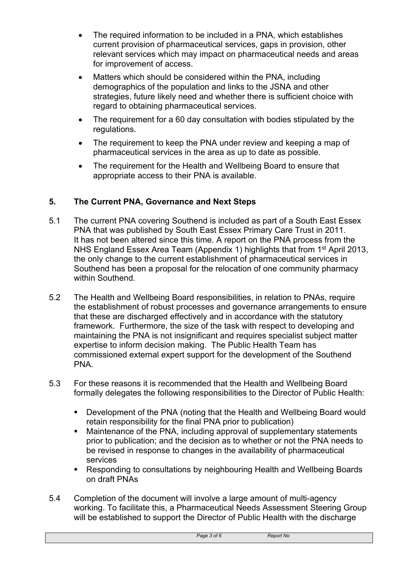- The required information to be included in a PNA, which establishes current provision of pharmaceutical services, gaps in provision, other relevant services which may impact on pharmaceutical needs and areas for improvement of access.
- Matters which should be considered within the PNA, including demographics of the population and links to the JSNA and other strategies, future likely need and whether there is sufficient choice with regard to obtaining pharmaceutical services.
- The requirement for a 60 day consultation with bodies stipulated by the regulations.
- The requirement to keep the PNA under review and keeping a map of pharmaceutical services in the area as up to date as possible.
- The requirement for the Health and Wellbeing Board to ensure that appropriate access to their PNA is available.

# **5. The Current PNA, Governance and Next Steps**

- 5.1 The current PNA covering Southend is included as part of a South East Essex PNA that was published by South East Essex Primary Care Trust in 2011. It has not been altered since this time. A report on the PNA process from the NHS England Essex Area Team (Appendix 1) highlights that from 1<sup>st</sup> April 2013, the only change to the current establishment of pharmaceutical services in Southend has been a proposal for the relocation of one community pharmacy within Southend.
- 5.2 The Health and Wellbeing Board responsibilities, in relation to PNAs, require the establishment of robust processes and governance arrangements to ensure that these are discharged effectively and in accordance with the statutory framework. Furthermore, the size of the task with respect to developing and maintaining the PNA is not insignificant and requires specialist subject matter expertise to inform decision making. The Public Health Team has commissioned external expert support for the development of the Southend PNA.
- 5.3 For these reasons it is recommended that the Health and Wellbeing Board formally delegates the following responsibilities to the Director of Public Health:
	- Development of the PNA (noting that the Health and Wellbeing Board would retain responsibility for the final PNA prior to publication)
	- Maintenance of the PNA, including approval of supplementary statements prior to publication; and the decision as to whether or not the PNA needs to be revised in response to changes in the availability of pharmaceutical services
	- **Responding to consultations by neighbouring Health and Wellbeing Boards** on draft PNAs
- 5.4 Completion of the document will involve a large amount of multi-agency working. To facilitate this, a Pharmaceutical Needs Assessment Steering Group will be established to support the Director of Public Health with the discharge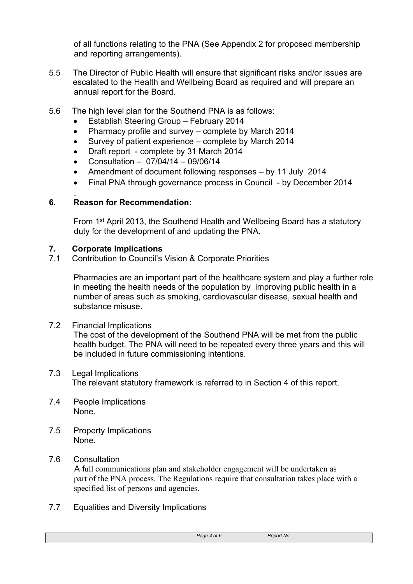of all functions relating to the PNA (See Appendix 2 for proposed membership and reporting arrangements).

- 5.5 The Director of Public Health will ensure that significant risks and/or issues are escalated to the Health and Wellbeing Board as required and will prepare an annual report for the Board.
- 5.6 The high level plan for the Southend PNA is as follows:
	- Establish Steering Group February 2014
	- Pharmacy profile and survey complete by March 2014
	- Survey of patient experience complete by March 2014
	- Draft report complete by 31 March 2014
	- Consultation 07/04/14 09/06/14
	- Amendment of document following responses by 11 July 2014
	- Final PNA through governance process in Council by December 2014

#### . **6. Reason for Recommendation:**

From 1<sup>st</sup> April 2013, the Southend Health and Wellbeing Board has a statutory duty for the development of and updating the PNA.

# **7. Corporate Implications**

7.1 Contribution to Council's Vision & Corporate Priorities

Pharmacies are an important part of the healthcare system and play a further role in meeting the health needs of the population by improving public health in a number of areas such as smoking, cardiovascular disease, sexual health and substance misuse.

# 7.2 Financial Implications

The cost of the development of the Southend PNA will be met from the public health budget. The PNA will need to be repeated every three years and this will be included in future commissioning intentions.

#### 7.3 Legal Implications The relevant statutory framework is referred to in Section 4 of this report.

- 7.4 People Implications None.
- 7.5 Property Implications None.

# 7.6 Consultation

 A full communications plan and stakeholder engagement will be undertaken as part of the PNA process. The Regulations require that consultation takes place with a specified list of persons and agencies.

7.7 Equalities and Diversity Implications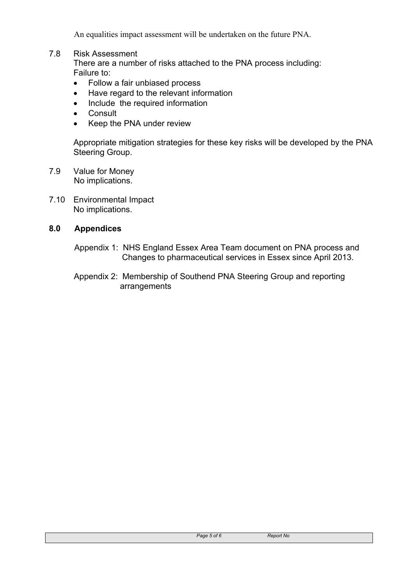An equalities impact assessment will be undertaken on the future PNA.

#### 7.8 Risk Assessment

There are a number of risks attached to the PNA process including: Failure to:

- Follow a fair unbiased process
- Have regard to the relevant information
- Include the required information
- Consult
- Keep the PNA under review

Appropriate mitigation strategies for these key risks will be developed by the PNA Steering Group.

- 7.9 Value for Money No implications.
- 7.10 Environmental Impact No implications.

#### **8.0 Appendices**

- Appendix 1: NHS England Essex Area Team document on PNA process and Changes to pharmaceutical services in Essex since April 2013.
- Appendix 2: Membership of Southend PNA Steering Group and reporting arrangements